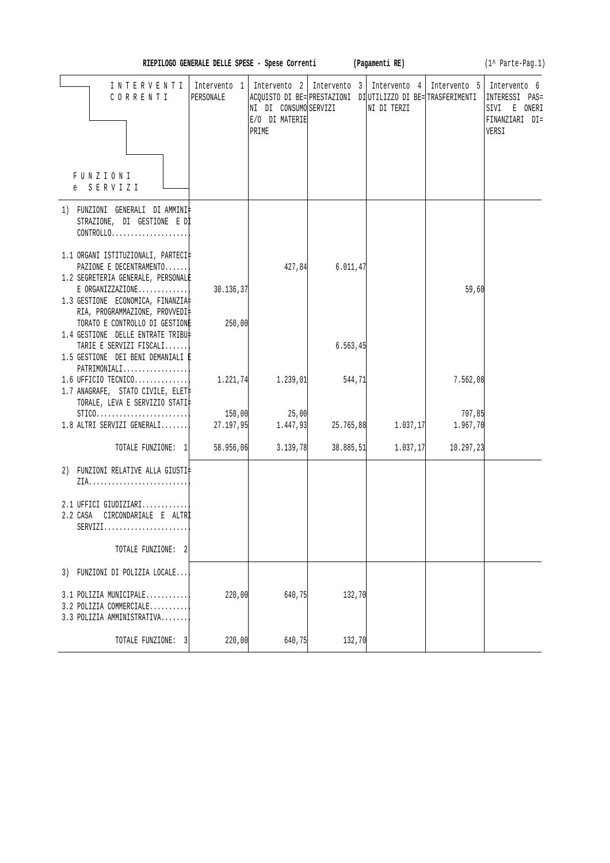| RIEPILOGO GENERALE DELLE SPESE - Spese Corrent |  |  |  |  |  |  |
|------------------------------------------------|--|--|--|--|--|--|
|------------------------------------------------|--|--|--|--|--|--|

**RIEPILOGO GENERALE SPECIES EXECUTE:** (1^ Parte-Pag.1)

| INTERVENTI<br>CORRENTI<br>FUNZIONI<br>e SERVIZI                                                                                     | Intervento 1<br>PERSONALE | NI DI CONSUMO SERVIZI<br>E/O DI MATERIE<br>PRIME | Intervento 2   Intervento 3   Intervento 4   Intervento 5   Intervento 6<br>ACQUISTO DI BE= PRESTAZIONI DI UTILIZZO DI BE= TRASFERIMENTI | NI DI TERZI |                    | INTERESSI PAS=<br>SIVI E ONERI<br>FINANZIARI DI=<br>VERSI |
|-------------------------------------------------------------------------------------------------------------------------------------|---------------------------|--------------------------------------------------|------------------------------------------------------------------------------------------------------------------------------------------|-------------|--------------------|-----------------------------------------------------------|
|                                                                                                                                     |                           |                                                  |                                                                                                                                          |             |                    |                                                           |
| 1) FUNZIONI GENERALI DI AMMINI‡<br>STRAZIONE, DI GESTIONE E DI<br>$CONTROLLO.$                                                      |                           |                                                  |                                                                                                                                          |             |                    |                                                           |
| 1.1 ORGANI ISTITUZIONALI, PARTECI‡<br>PAZIONE E DECENTRAMENTO<br>1.2 SEGRETERIA GENERALE, PERSONALE                                 |                           | 427,84                                           | 6.011, 47                                                                                                                                |             |                    |                                                           |
| $E$ ORGANIZZAZIONE<br>1.3 GESTIONE ECONOMICA, FINANZIA<br>RIA, PROGRAMMAZIONE, PROVVEDI‡                                            | 30.136,37                 |                                                  |                                                                                                                                          |             | 59,60              |                                                           |
| TORATO E CONTROLLO DI GESTIONE<br>1.4 GESTIONE DELLE ENTRATE TRIBU‡<br>TARIE E SERVIZI FISCALI<br>1.5 GESTIONE DEI BENI DEMANIALI È | 250,00                    |                                                  | 6.563, 45                                                                                                                                |             |                    |                                                           |
| PATRIMONIALI<br>$1.6$ UFFICIO TECNICO<br>1.7 ANAGRAFE, STATO CIVILE, ELET‡<br>TORALE, LEVA E SERVIZIO STATI‡                        | 1.221,74                  | 1.239,01                                         | 544,71                                                                                                                                   |             | 7.562,08           |                                                           |
| $STICO.$<br>$1.8$ ALTRI SERVIZI GENERALI                                                                                            | 150,00<br>27.197,95       | 25,00<br>1.447,93                                | 25.765,88                                                                                                                                | 1.037,17    | 707,85<br>1.967,70 |                                                           |
| TOTALE FUNZIONE: 1                                                                                                                  | 58.956,06                 | 3.139,78                                         | 38.885,51                                                                                                                                | 1.037,17    | 10.297,23          |                                                           |
| 2) FUNZIONI RELATIVE ALLA GIUSTI‡                                                                                                   |                           |                                                  |                                                                                                                                          |             |                    |                                                           |
| 2.1 UFFICI GIUDIZIARI<br>2.2 CASA CIRCONDARIALE E ALTRI<br>$SERVIZI.$                                                               |                           |                                                  |                                                                                                                                          |             |                    |                                                           |
| TOTALE FUNZIONE:                                                                                                                    |                           |                                                  |                                                                                                                                          |             |                    |                                                           |
| FUNZIONI DI POLIZIA LOCALE<br>3)                                                                                                    |                           |                                                  |                                                                                                                                          |             |                    |                                                           |
| 3.1 POLIZIA MUNICIPALE<br>3.2 POLIZIA COMMERCIALE<br>3.3 POLIZIA AMMINISTRATIVA                                                     | 220,00                    | 640,75                                           | 132,70                                                                                                                                   |             |                    |                                                           |
| TOTALE FUNZIONE: 3                                                                                                                  | 220,00                    | 640,75                                           | 132,70                                                                                                                                   |             |                    |                                                           |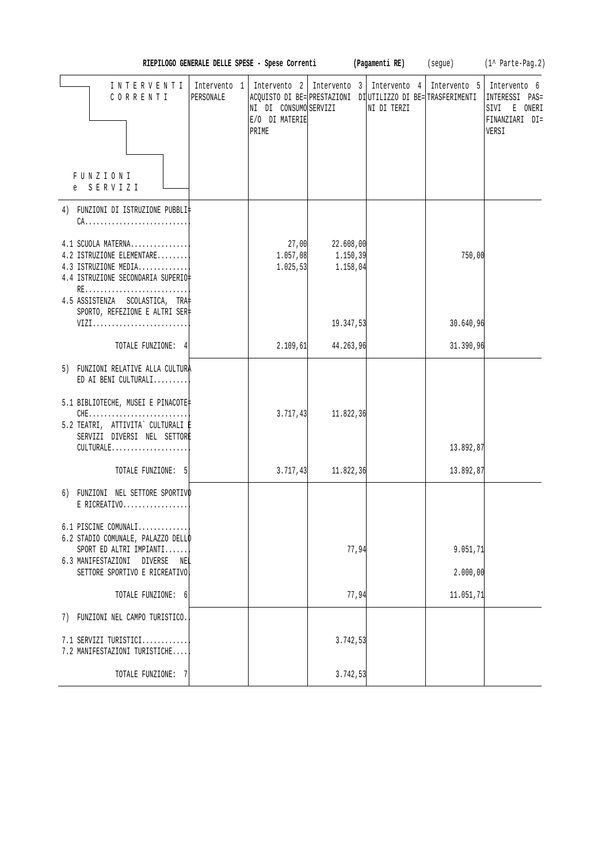|                                                                                                                 | RIEPILOGO GENERALE DELLE SPESE - Spese Correnti |                                                  |                                    | (Pagamenti RE)                                                                                                            | (segue)      | $(1^{\wedge}$ Parte-Pag. 2)                                               |
|-----------------------------------------------------------------------------------------------------------------|-------------------------------------------------|--------------------------------------------------|------------------------------------|---------------------------------------------------------------------------------------------------------------------------|--------------|---------------------------------------------------------------------------|
| INTERVENTI<br>CORRENTI<br>FUNZIONI                                                                              | Intervento 1<br>PERSONALE                       | NI DI CONSUMO SERVIZI<br>E/O DI MATERIE<br>PRIME |                                    | Intervento 2   Intervento 3   Intervento 4<br>ACQUISTO DI BE= PRESTAZIONI DI UTILIZZO DI BE= TRASFERIMENTI<br>NI DI TERZI | Intervento 5 | Intervento 6<br>INTERESSI PAS=<br>SIVI E ONERI<br>FINANZIARI DI=<br>VERSI |
| e SERVIZI                                                                                                       |                                                 |                                                  |                                    |                                                                                                                           |              |                                                                           |
| 4) FUNZIONI DI ISTRUZIONE PUBBLI‡<br>$CA.$                                                                      |                                                 |                                                  |                                    |                                                                                                                           |              |                                                                           |
| 4.1 SCUOLA MATERNA<br>4.2 ISTRUZIONE ELEMENTARE<br>4.3 ISTRUZIONE MEDIA<br>4.4 ISTRUZIONE SECONDARIA SUPERIO‡   |                                                 | 27,00<br>1.057,08<br>1.025, 53                   | 22.608,00<br>1.150, 39<br>1.158,04 |                                                                                                                           | 750,00       |                                                                           |
| 4.5 ASSISTENZA SCOLASTICA, TRA<br>SPORTO, REFEZIONE E ALTRI SER‡                                                |                                                 |                                                  |                                    |                                                                                                                           |              |                                                                           |
| VIZI                                                                                                            |                                                 |                                                  | 19.347,53                          |                                                                                                                           | 30.640,96    |                                                                           |
| TOTALE FUNZIONE: 4                                                                                              |                                                 | 2.109, 61                                        | 44.263,96                          |                                                                                                                           | 31.390,96    |                                                                           |
| 5) FUNZIONI RELATIVE ALLA CULTURA<br>ED AI BENI CULTURALI                                                       |                                                 |                                                  |                                    |                                                                                                                           |              |                                                                           |
| 5.1 BIBLIOTECHE, MUSEI E PINACOTE‡<br>$CHE$<br>5.2 TEATRI, ATTIVITA` CULTURALI E<br>SERVIZI DIVERSI NEL SETTORE |                                                 | 3.717,43                                         | 11.822,36                          |                                                                                                                           |              |                                                                           |
| CULTURALE                                                                                                       |                                                 |                                                  |                                    |                                                                                                                           | 13.892,87    |                                                                           |
| TOTALE FUNZIONE: 5                                                                                              |                                                 | 3.717, 43                                        | 11.822,36                          |                                                                                                                           | 13.892,87    |                                                                           |
| 6) FUNZIONI NEL SETTORE SPORTIVO<br>$E$ RICREATIVO                                                              |                                                 |                                                  |                                    |                                                                                                                           |              |                                                                           |
| 6.1 PISCINE COMUNALI<br>6.2 STADIO COMUNALE, PALAZZO DELLO<br>SPORT ED ALTRI IMPIANTI                           |                                                 |                                                  | 77,94                              |                                                                                                                           | 9.051,71     |                                                                           |
| 6.3 MANIFESTAZIONI DIVERSE<br>NEL<br>SETTORE SPORTIVO E RICREATIVO                                              |                                                 |                                                  |                                    |                                                                                                                           | 2.000,00     |                                                                           |
| TOTALE FUNZIONE: 6                                                                                              |                                                 |                                                  | 77,94                              |                                                                                                                           | 11.051,71    |                                                                           |
| 7) FUNZIONI NEL CAMPO TURISTICO.                                                                                |                                                 |                                                  |                                    |                                                                                                                           |              |                                                                           |
| 7.1 SERVIZI TURISTICI<br>7.2 MANIFESTAZIONI TURISTICHE                                                          |                                                 |                                                  | 3.742,53                           |                                                                                                                           |              |                                                                           |
| TOTALE FUNZIONE: 7                                                                                              |                                                 |                                                  | 3.742,53                           |                                                                                                                           |              |                                                                           |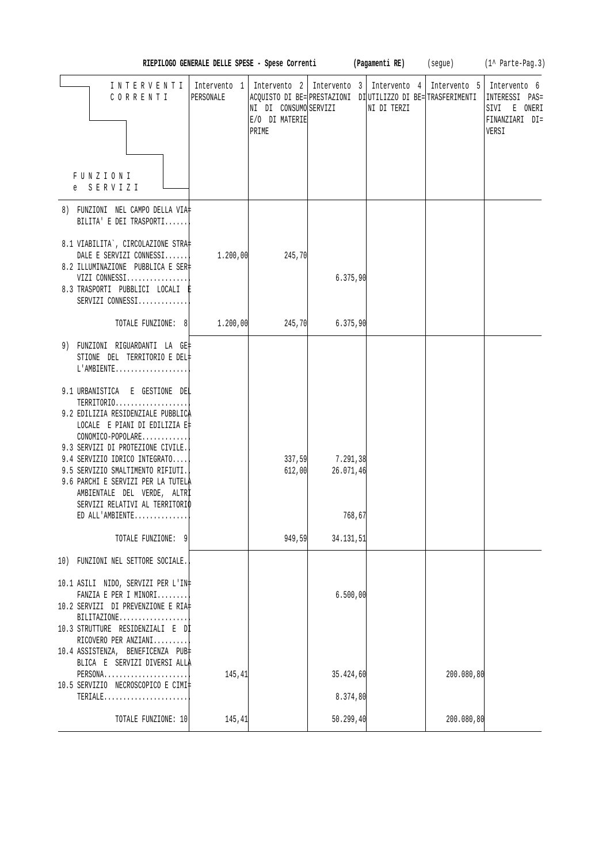|                                                                                                                                                                                                                                                                                                                                                                             |           |                                                  |                       | RIEPILOGO GENERALE DELLE SPESE - Spese Correnti (Pagamenti RE) (segue)                                                                   |              | $(1^{\wedge}$ Parte-Pag.3)                                                |
|-----------------------------------------------------------------------------------------------------------------------------------------------------------------------------------------------------------------------------------------------------------------------------------------------------------------------------------------------------------------------------|-----------|--------------------------------------------------|-----------------------|------------------------------------------------------------------------------------------------------------------------------------------|--------------|---------------------------------------------------------------------------|
| INTERVENTI<br>CORRENTI                                                                                                                                                                                                                                                                                                                                                      | PERSONALE | NI DI CONSUMO SERVIZI<br>E/O DI MATERIE<br>PRIME |                       | Intervento 1   Intervento 2   Intervento 3   Intervento 4<br>ACQUISTO DI BE= PRESTAZIONI DI UTILIZZO DI BE= TRASFERIMENTI<br>NI DI TERZI | Intervento 5 | Intervento 6<br>INTERESSI PAS=<br>SIVI E ONERI<br>FINANZIARI DI=<br>VERSI |
| FUNZIONI<br>e SERVIZI                                                                                                                                                                                                                                                                                                                                                       |           |                                                  |                       |                                                                                                                                          |              |                                                                           |
| 8) FUNZIONI NEL CAMPO DELLA VIA‡<br>BILITA' E DEI TRASPORTI                                                                                                                                                                                                                                                                                                                 |           |                                                  |                       |                                                                                                                                          |              |                                                                           |
| 8.1 VIABILITA`, CIRCOLAZIONE STRA‡<br>DALE E SERVIZI CONNESSI<br>8.2 ILLUMINAZIONE PUBBLICA E SER‡<br>VIZI CONNESSI<br>8.3 TRASPORTI PUBBLICI LOCALI E<br>SERVIZI CONNESSI                                                                                                                                                                                                  | 1.200,00  | 245,70                                           | 6.375,90              |                                                                                                                                          |              |                                                                           |
| TOTALE FUNZIONE: 8                                                                                                                                                                                                                                                                                                                                                          | 1.200,00  | 245,70                                           | 6.375,90              |                                                                                                                                          |              |                                                                           |
| 9) FUNZIONI RIGUARDANTI LA GE‡<br>STIONE DEL TERRITORIO E DEL#<br>$L'AMBIENTE$<br>9.1 URBANISTICA E GESTIONE DEL<br>TERRITORIO<br>9.2 EDILIZIA RESIDENZIALE PUBBLICA<br>LOCALE E PIANI DI EDILIZIA E‡<br>CONOMICO-POPOLARE<br>9.3 SERVIZI DI PROTEZIONE CIVILE.<br>9.4 SERVIZIO IDRICO INTEGRATO<br>9.5 SERVIZIO SMALTIMENTO RIFIUTI.<br>9.6 PARCHI E SERVIZI PER LA TUTELA |           | 337,59<br>612,00                                 | 7.291,38<br>26.071,46 |                                                                                                                                          |              |                                                                           |
| AMBIENTALE DEL VERDE, ALTRI<br>SERVIZI RELATIVI AL TERRITORIO                                                                                                                                                                                                                                                                                                               |           |                                                  |                       |                                                                                                                                          |              |                                                                           |
| $ED$ ALL'AMBIENTE                                                                                                                                                                                                                                                                                                                                                           |           |                                                  | 768,67                |                                                                                                                                          |              |                                                                           |
| TOTALE FUNZIONE: 9                                                                                                                                                                                                                                                                                                                                                          |           | 949,59                                           | 34.131,51             |                                                                                                                                          |              |                                                                           |
| 10) FUNZIONI NEL SETTORE SOCIALE.<br>10.1 ASILI NIDO, SERVIZI PER L'IN‡                                                                                                                                                                                                                                                                                                     |           |                                                  |                       |                                                                                                                                          |              |                                                                           |
| FANZIA E PER I MINORI<br>10.2 SERVIZI DI PREVENZIONE E RIA‡<br>BILITAZIONE<br>10.3 STRUTTURE RESIDENZIALI E Dİ<br>RICOVERO PER ANZIANI<br>10.4 ASSISTENZA, BENEFICENZA PUB                                                                                                                                                                                                  |           |                                                  | 6.500,00              |                                                                                                                                          |              |                                                                           |
| BLICA E SERVIZI DIVERSI ALLA<br>PERSONA<br>10.5 SERVIZIO NECROSCOPICO E CIMI‡                                                                                                                                                                                                                                                                                               | 145,41    |                                                  | 35.424,60             |                                                                                                                                          | 200.080,80   |                                                                           |
| TERIALE                                                                                                                                                                                                                                                                                                                                                                     |           |                                                  | 8.374,80              |                                                                                                                                          |              |                                                                           |
| TOTALE FUNZIONE: 10                                                                                                                                                                                                                                                                                                                                                         | 145,41    |                                                  | 50.299,40             |                                                                                                                                          | 200.080,80   |                                                                           |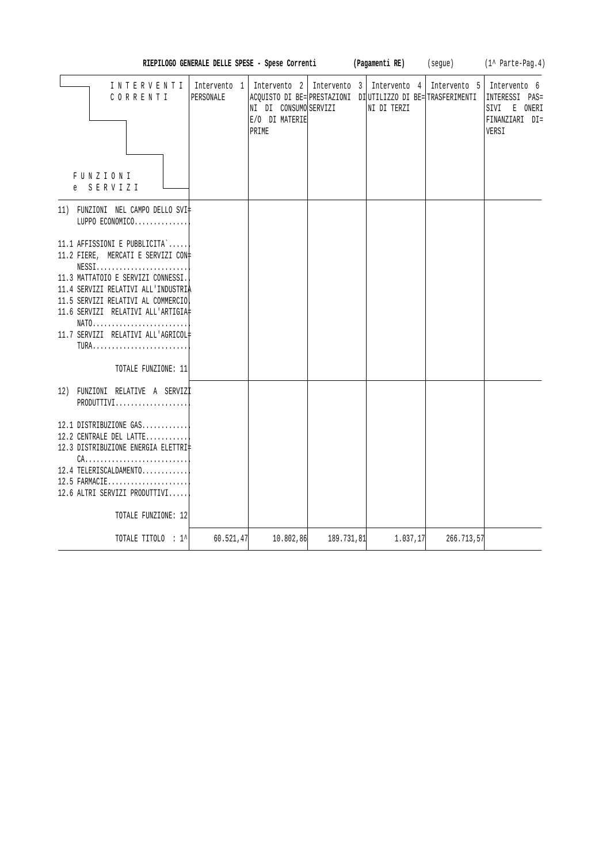| RIEPILOGO GENERALE DELLE SPESE - Spese Correnti                                                                                                                                                                                                                                                                                                                                                                 |                           |                                                                                                                                  |              |  | (1^ Parte-Pag.4)<br>(Pagamenti RE)<br>(segue) |              |                                                                           |
|-----------------------------------------------------------------------------------------------------------------------------------------------------------------------------------------------------------------------------------------------------------------------------------------------------------------------------------------------------------------------------------------------------------------|---------------------------|----------------------------------------------------------------------------------------------------------------------------------|--------------|--|-----------------------------------------------|--------------|---------------------------------------------------------------------------|
| INTERVENTI<br>CORRENTI<br>FUNZIONI<br>SERVIZI<br>e                                                                                                                                                                                                                                                                                                                                                              | Intervento 1<br>PERSONALE | Intervento 2<br>ACQUISTO DI BE= PRESTAZIONI DI UTILIZZO DI BE= TRASFERIMENTI<br>NI DI CONSUMO SERVIZI<br>E/O DI MATERIE<br>PRIME | Intervento 3 |  | Intervento 4<br>NI DI TERZI                   | Intervento 5 | Intervento 6<br>INTERESSI PAS=<br>SIVI E ONERI<br>FINANZIARI DI=<br>VERSI |
| 11) FUNZIONI NEL CAMPO DELLO SVI‡<br>LUPPO ECONOMICO                                                                                                                                                                                                                                                                                                                                                            |                           |                                                                                                                                  |              |  |                                               |              |                                                                           |
| 11.1 AFFISSIONI E PUBBLICITA`<br>11.2 FIERE, MERCATI E SERVIZI CON-<br>$NESS1, \ldots, \ldots, \ldots, \ldots, \ldots, \ldots,$<br>11.3 MATTATOIO E SERVIZI CONNESSI.<br>11.4 SERVIZI RELATIVI ALL'INDUSTRIA<br>11.5 SERVIZI RELATIVI AL COMMERCIO<br>11.6 SERVIZI RELATIVI ALL'ARTIGIA‡<br>$NATO \ldots \ldots \ldots \ldots \ldots \ldots \ldots \ldots \ldots$<br>11.7 SERVIZI RELATIVI ALL'AGRICOL#<br>TURA |                           |                                                                                                                                  |              |  |                                               |              |                                                                           |
| TOTALE FUNZIONE: 11                                                                                                                                                                                                                                                                                                                                                                                             |                           |                                                                                                                                  |              |  |                                               |              |                                                                           |
| 12) FUNZIONI RELATIVE A SERVIZI<br>PRODUTTIVI                                                                                                                                                                                                                                                                                                                                                                   |                           |                                                                                                                                  |              |  |                                               |              |                                                                           |
| 12.1 DISTRIBUZIONE GAS<br>12.2 CENTRALE DEL LATTE<br>12.3 DISTRIBUZIONE ENERGIA ELETTRI‡<br>$CA.$<br>12.4 TELERISCALDAMENTO<br>12.5 FARMACIE<br>12.6 ALTRI SERVIZI PRODUTTIVI                                                                                                                                                                                                                                   |                           |                                                                                                                                  |              |  |                                               |              |                                                                           |
| TOTALE FUNZIONE: 12                                                                                                                                                                                                                                                                                                                                                                                             |                           |                                                                                                                                  |              |  |                                               |              |                                                                           |
| TOTALE TITOLO : 1^                                                                                                                                                                                                                                                                                                                                                                                              | 60.521,47                 | 10.802,86                                                                                                                        | 189.731,81   |  | 1.037,17                                      | 266.713,57   |                                                                           |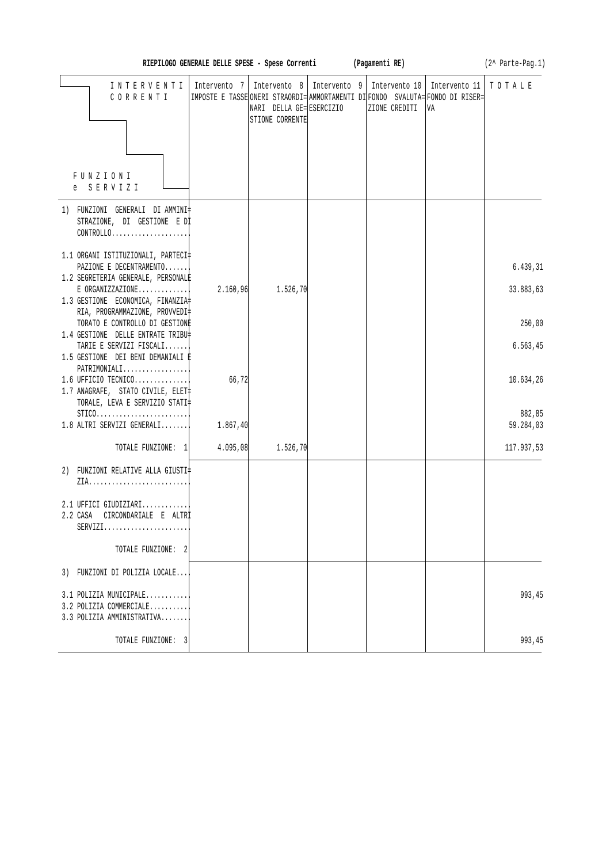|                                                                                                               | RIEPILOGO GENERALE DELLE SPESE - Spese Correnti (Pagamenti RE) |                                             |              |                                                                                                 |                                   | (2^ Parte-Pag.1)    |
|---------------------------------------------------------------------------------------------------------------|----------------------------------------------------------------|---------------------------------------------|--------------|-------------------------------------------------------------------------------------------------|-----------------------------------|---------------------|
| INTERVENTI   Intervento 7   Intervento 8  <br>CORRENTI                                                        |                                                                | NARI DELLA GE= ESERCIZIO<br>STIONE CORRENTE | Intervento 9 | IMPOSTE E TASSE ONERI STRAORDI= AMMORTAMENTI DI FONDO SVALUTA= FONDO DI RISER=<br>ZIONE CREDITI | Intervento 10 Intervento 11<br>VA | TOTALE              |
| FUNZIONI<br>e SERVIZI                                                                                         |                                                                |                                             |              |                                                                                                 |                                   |                     |
| 1) FUNZIONI GENERALI DI AMMINI‡<br>STRAZIONE, DI GESTIONE E DI<br>CONTROLLO                                   |                                                                |                                             |              |                                                                                                 |                                   |                     |
| 1.1 ORGANI ISTITUZIONALI, PARTECI‡<br>PAZIONE E DECENTRAMENTO                                                 |                                                                |                                             |              |                                                                                                 |                                   | 6.439,31            |
| 1.2 SEGRETERIA GENERALE, PERSONALE<br>$E$ ORGANIZZAZIONE<br>1.3 GESTIONE ECONOMICA, FINANZIA                  | 2.160,96                                                       | 1.526,70                                    |              |                                                                                                 |                                   | 33.883,63           |
| RIA, PROGRAMMAZIONE, PROVVEDI‡<br>TORATO E CONTROLLO DI GESTIONE                                              |                                                                |                                             |              |                                                                                                 |                                   | 250,00              |
| 1.4 GESTIONE DELLE ENTRATE TRIBU‡<br>TARIE E SERVIZI FISCALI<br>1.5 GESTIONE DEI BENI DEMANIALI È             |                                                                |                                             |              |                                                                                                 |                                   | 6.563, 45           |
| $PATHIMONIALI$<br>$1.6$ UFFICIO TECNICO<br>1.7 ANAGRAFE, STATO CIVILE, ELET<br>TORALE, LEVA E SERVIZIO STATI‡ | 66,72                                                          |                                             |              |                                                                                                 |                                   | 10.634,26           |
| $STICO.$<br>$1.8$ ALTRI SERVIZI GENERALI                                                                      | 1.867,40                                                       |                                             |              |                                                                                                 |                                   | 882,85<br>59.284,03 |
| TOTALE FUNZIONE: 1                                                                                            | 4.095,08                                                       | 1.526, 70                                   |              |                                                                                                 |                                   | 117.937,53          |
| 2) FUNZIONI RELATIVE ALLA GIUSTI‡                                                                             |                                                                |                                             |              |                                                                                                 |                                   |                     |
| $2.1$ UFFICI GIUDIZIARI<br>CIRCONDARIALE E ALTRÌ<br>2.2 CASA<br>$SERVIZI$                                     |                                                                |                                             |              |                                                                                                 |                                   |                     |
| TOTALE FUNZIONE: 2                                                                                            |                                                                |                                             |              |                                                                                                 |                                   |                     |
| 3) FUNZIONI DI POLIZIA LOCALE                                                                                 |                                                                |                                             |              |                                                                                                 |                                   |                     |
| $3.1$ POLIZIA MUNICIPALE<br>3.2 POLIZIA COMMERCIALE<br>3.3 POLIZIA AMMINISTRATIVA                             |                                                                |                                             |              |                                                                                                 |                                   | 993,45              |
| TOTALE FUNZIONE: 3                                                                                            |                                                                |                                             |              |                                                                                                 |                                   | 993,45              |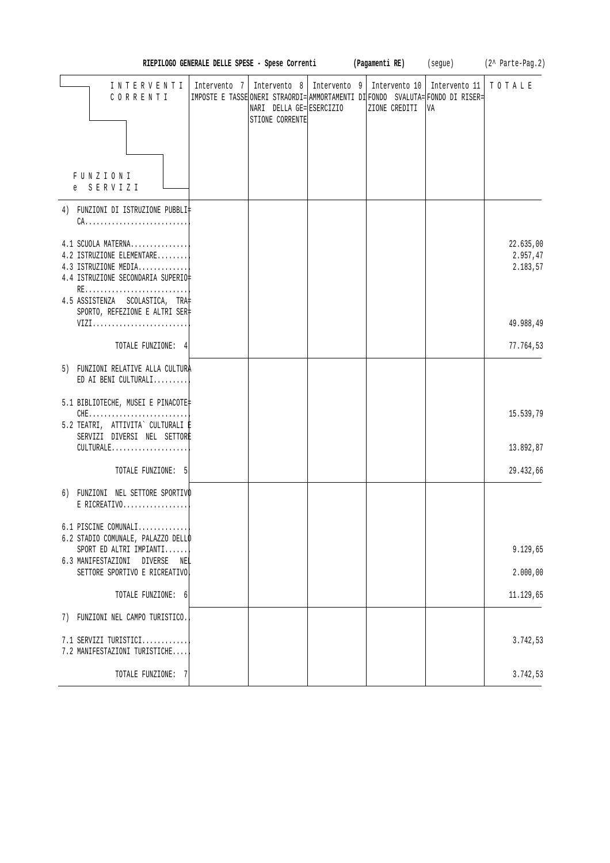|                                                                                                                                                        |              |                                            | RIEPILOGO GENERALE DELLE SPESE - Spese Correnti (Pagamenti RE) (segue) (2^ Parte-Pag.2)                                                          |                     |                                   |
|--------------------------------------------------------------------------------------------------------------------------------------------------------|--------------|--------------------------------------------|--------------------------------------------------------------------------------------------------------------------------------------------------|---------------------|-----------------------------------|
| INTERVENTI<br>CORRENTI<br>FUNZIONI                                                                                                                     | Intervento 7 | NARI DELLA GE=ESERCIZIO<br>STIONE CORRENTE | Intervento 8   Intervento 9   Intervento 10  <br>IMPOSTE E TASSE ONERI STRAORDI= AMMORTAMENTI DI FONDO SVALUTA= FONDO DI RISER=<br>ZIONE CREDITI | Intervento 11<br>VA | TOTALE                            |
| e SERVIZI                                                                                                                                              |              |                                            |                                                                                                                                                  |                     |                                   |
| 4) FUNZIONI DI ISTRUZIONE PUBBLI‡<br>$CA.$                                                                                                             |              |                                            |                                                                                                                                                  |                     |                                   |
| 4.1 SCUOLA MATERNA<br>4.2 ISTRUZIONE ELEMENTARE<br>4.3 ISTRUZIONE MEDIA<br>4.4 ISTRUZIONE SECONDARIA SUPERIO‡<br>RE<br>4.5 ASSISTENZA SCOLASTICA, TRA‡ |              |                                            |                                                                                                                                                  |                     | 22.635,00<br>2.957,47<br>2.183,57 |
| SPORTO, REFEZIONE E ALTRI SER‡<br>VIZI                                                                                                                 |              |                                            |                                                                                                                                                  |                     | 49.988,49                         |
| TOTALE FUNZIONE: 4                                                                                                                                     |              |                                            |                                                                                                                                                  |                     | 77.764,53                         |
| 5) FUNZIONI RELATIVE ALLA CULTURA<br>ED AI BENI CULTURALI                                                                                              |              |                                            |                                                                                                                                                  |                     |                                   |
| 5.1 BIBLIOTECHE, MUSEI E PINACOTE<br>$CHE$<br>5.2 TEATRI, ATTIVITA` CULTURALI E<br>SERVIZI DIVERSI NEL SETTORE<br>CULTURALE                            |              |                                            |                                                                                                                                                  |                     | 15.539,79<br>13.892,87            |
| TOTALE FUNZIONE: 5                                                                                                                                     |              |                                            |                                                                                                                                                  |                     | 29.432,66                         |
| 6) FUNZIONI NEL SETTORE SPORTIVO<br>$E$ RICREATIVO                                                                                                     |              |                                            |                                                                                                                                                  |                     |                                   |
| 6.1 PISCINE COMUNALI<br>6.2 STADIO COMUNALE, PALAZZO DELLO                                                                                             |              |                                            |                                                                                                                                                  |                     |                                   |
| SPORT ED ALTRI IMPIANTI<br>6.3 MANIFESTAZIONI<br>DIVERSE<br>NEL                                                                                        |              |                                            |                                                                                                                                                  |                     | 9.129,65                          |
| SETTORE SPORTIVO E RICREATIVO                                                                                                                          |              |                                            |                                                                                                                                                  |                     | 2.000,00                          |
| TOTALE FUNZIONE: 6                                                                                                                                     |              |                                            |                                                                                                                                                  |                     | 11.129,65                         |
| 7) FUNZIONI NEL CAMPO TURISTICO.                                                                                                                       |              |                                            |                                                                                                                                                  |                     |                                   |
| 7.1 SERVIZI TURISTICI<br>7.2 MANIFESTAZIONI TURISTICHE                                                                                                 |              |                                            |                                                                                                                                                  |                     | 3.742,53                          |
| TOTALE FUNZIONE: 7                                                                                                                                     |              |                                            |                                                                                                                                                  |                     | 3.742,53                          |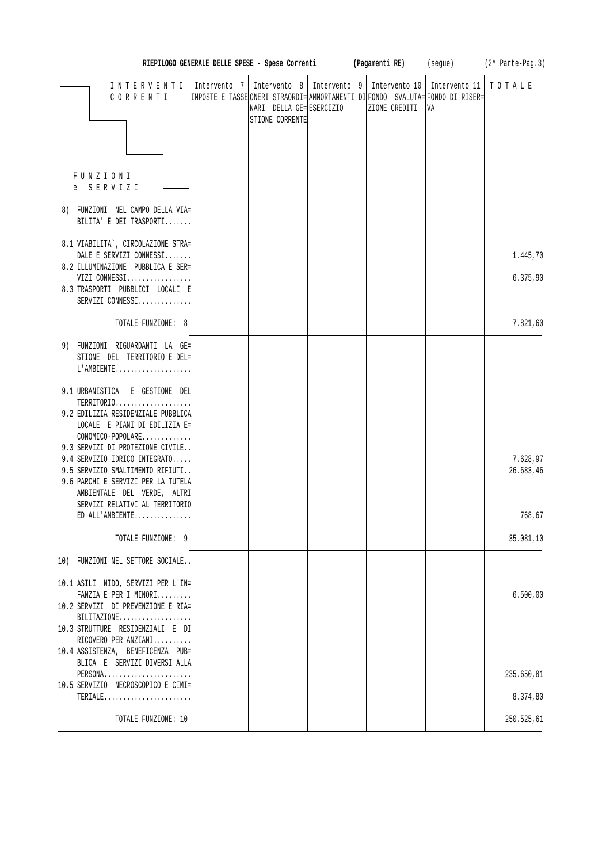|                                                                                                          |                                                                                |                                                                                                             |  |               |                     | RIEPILOGO GENERALE DELLE SPESE - Spese Correnti (Pagamenti RE) (segue) (2^ Parte-Pag.3) |
|----------------------------------------------------------------------------------------------------------|--------------------------------------------------------------------------------|-------------------------------------------------------------------------------------------------------------|--|---------------|---------------------|-----------------------------------------------------------------------------------------|
| INTERVENTI<br>CORRENTI                                                                                   | IMPOSTE E TASSE ONERI STRAORDI= AMMORTAMENTI DI FONDO SVALUTA= FONDO DI RISER= | Intervento 7   Intervento 8   Intervento 9   Intervento 10  <br>NARI DELLA GE= ESERCIZIO<br>STIONE CORRENTE |  | ZIONE CREDITI | Intervento 11<br>VA | TOTALE                                                                                  |
| FUNZIONI<br>e SERVIZI                                                                                    |                                                                                |                                                                                                             |  |               |                     |                                                                                         |
| 8) FUNZIONI NEL CAMPO DELLA VIA‡<br>BILITA' E DEI TRASPORTI                                              |                                                                                |                                                                                                             |  |               |                     |                                                                                         |
| 8.1 VIABILITA`, CIRCOLAZIONE STRA‡<br>DALE E SERVIZI CONNESSI<br>8.2 ILLUMINAZIONE PUBBLICA E SER‡       |                                                                                |                                                                                                             |  |               |                     | 1.445,70                                                                                |
| VIZI CONNESSI<br>8.3 TRASPORTI PUBBLICI LOCALI E<br>SERVIZI CONNESSI                                     |                                                                                |                                                                                                             |  |               |                     | 6.375,90                                                                                |
| TOTALE FUNZIONE: 8                                                                                       |                                                                                |                                                                                                             |  |               |                     | 7.821,60                                                                                |
| 9) FUNZIONI RIGUARDANTI LA GE‡<br>STIONE DEL TERRITORIO E DEL‡<br>$L'AMBIENTE$                           |                                                                                |                                                                                                             |  |               |                     |                                                                                         |
| 9.1 URBANISTICA E GESTIONE DEL<br>TERRITORIO<br>9.2 EDILIZIA RESIDENZIALE PUBBLICA                       |                                                                                |                                                                                                             |  |               |                     |                                                                                         |
| LOCALE E PIANI DI EDILIZIA E‡<br>CONOMICO-POPOLARE<br>9.3 SERVIZI DI PROTEZIONE CIVILE.                  |                                                                                |                                                                                                             |  |               |                     |                                                                                         |
| 9.4 SERVIZIO IDRICO INTEGRATO<br>9.5 SERVIZIO SMALTIMENTO RIFIUTI.<br>9.6 PARCHI E SERVIZI PER LA TUTELA |                                                                                |                                                                                                             |  |               |                     | 7.628,97<br>26.683,46                                                                   |
| AMBIENTALE DEL VERDE, ALTRI<br>SERVIZI RELATIVI AL TERRITORIO<br>ED ALL'AMBIENTE                         |                                                                                |                                                                                                             |  |               |                     | 768,67                                                                                  |
| TOTALE FUNZIONE: 9                                                                                       |                                                                                |                                                                                                             |  |               |                     | 35.081,10                                                                               |
| 10) FUNZIONI NEL SETTORE SOCIALE.                                                                        |                                                                                |                                                                                                             |  |               |                     |                                                                                         |
| 10.1 ASILI NIDO, SERVIZI PER L'IN‡<br>FANZIA E PER I MINORI                                              |                                                                                |                                                                                                             |  |               |                     | 6.500,00                                                                                |
| 10.2 SERVIZI DI PREVENZIONE E RIA‡<br>$BILITAZIONE$<br>10.3 STRUTTURE RESIDENZIALI E Dİ                  |                                                                                |                                                                                                             |  |               |                     |                                                                                         |
| RICOVERO PER ANZIANI<br>10.4 ASSISTENZA, BENEFICENZA PUB‡<br>BLICA E SERVIZI DIVERSI ALLA                |                                                                                |                                                                                                             |  |               |                     |                                                                                         |
| PERSONA<br>10.5 SERVIZIO NECROSCOPICO E CIMI‡                                                            |                                                                                |                                                                                                             |  |               |                     | 235.650,81                                                                              |
| $TERIALE$                                                                                                |                                                                                |                                                                                                             |  |               |                     | 8.374,80                                                                                |
| TOTALE FUNZIONE: 10                                                                                      |                                                                                |                                                                                                             |  |               |                     | 250.525,61                                                                              |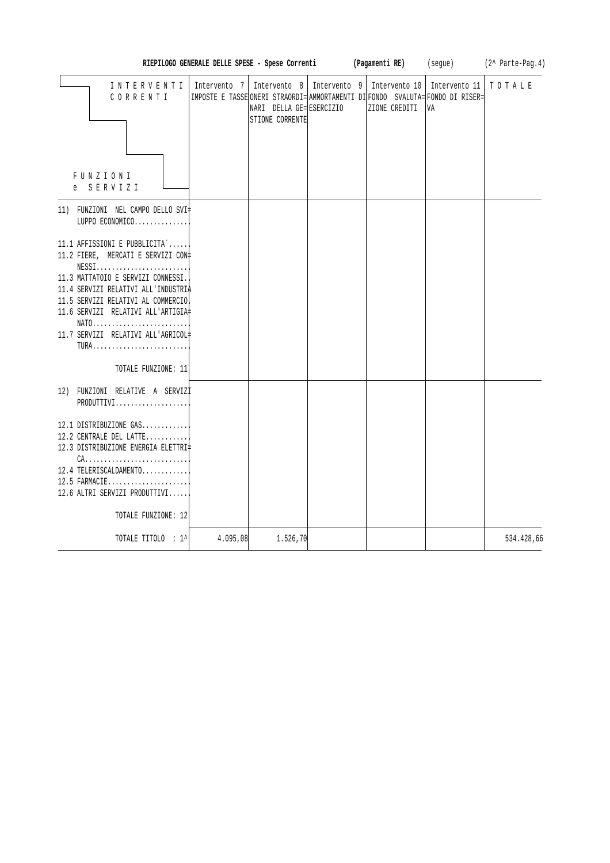|                                                                                                                                                                                                                                                                                                                                                         | RIEPILOGO GENERALE DELLE SPESE - Spese Correnti |                                             | (Pagamenti RE)                                                                                                                                   | (segue)             | $(2^{\wedge}$ Parte-Pag.4) |
|---------------------------------------------------------------------------------------------------------------------------------------------------------------------------------------------------------------------------------------------------------------------------------------------------------------------------------------------------------|-------------------------------------------------|---------------------------------------------|--------------------------------------------------------------------------------------------------------------------------------------------------|---------------------|----------------------------|
| INTERVENTI<br>CORRENTI<br>FUNZIONI<br>e SERVIZI                                                                                                                                                                                                                                                                                                         | Intervento 7                                    | NARI DELLA GE= ESERCIZIO<br>STIONE CORRENTE | Intervento 8   Intervento 9   Intervento 10  <br>IMPOSTE E TASSE ONERI STRAORDI= AMMORTAMENTI DI FONDO SVALUTA= FONDO DI RISER=<br>ZIONE CREDITI | Intervento 11<br>VA | TOTALE                     |
| 11) FUNZIONI NEL CAMPO DELLO SVI‡<br>LUPPO ECONOMICO                                                                                                                                                                                                                                                                                                    |                                                 |                                             |                                                                                                                                                  |                     |                            |
| 11.1 AFFISSIONI E PUBBLICITA`<br>11.2 FIERE, MERCATI E SERVIZI CON+<br>$NESS1.\dots.\dots.\dots.\dots.\dots\dots$<br>11.3 MATTATOIO E SERVIZI CONNESSI.<br>11.4 SERVIZI RELATIVI ALL'INDUSTRIÀ<br>11.5 SERVIZI RELATIVI AL COMMERCIO<br>11.6 SERVIZI RELATIVI ALL'ARTIGIA#<br>NATO<br>11.7 SERVIZI RELATIVI ALL'AGRICOL#<br>TURA<br>TOTALE FUNZIONE: 11 |                                                 |                                             |                                                                                                                                                  |                     |                            |
| 12) FUNZIONI RELATIVE A SERVIZI<br>PRODUTTIVI                                                                                                                                                                                                                                                                                                           |                                                 |                                             |                                                                                                                                                  |                     |                            |
| 12.1 DISTRIBUZIONE GAS<br>12.2 CENTRALE DEL LATTE<br>12.3 DISTRIBUZIONE ENERGIA ELETTRI‡<br>$CA.$<br>12.4 TELERISCALDAMENTO<br>$12.5$ FARMACIE<br>12.6 ALTRI SERVIZI PRODUTTIVI<br>TOTALE FUNZIONE: 12                                                                                                                                                  |                                                 |                                             |                                                                                                                                                  |                     |                            |
| TOTALE TITOLO : 1^                                                                                                                                                                                                                                                                                                                                      | 4.095,08                                        | 1.526, 70                                   |                                                                                                                                                  |                     | 534.428,66                 |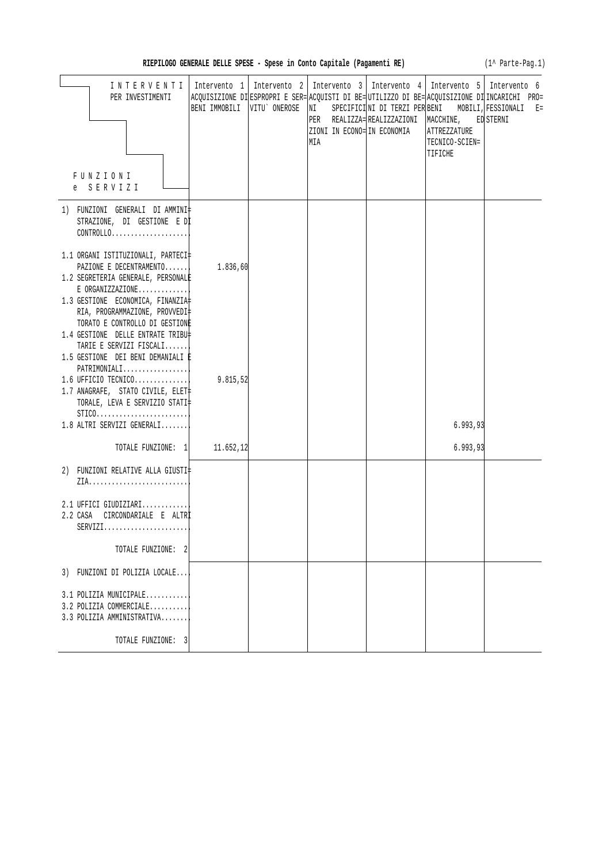| RIEPILOGO GENERALE DELLE SPESE - Spese in Conto Capitale (Pagamenti RE) |  |  |  |  |  |  |  |  |
|-------------------------------------------------------------------------|--|--|--|--|--|--|--|--|
|-------------------------------------------------------------------------|--|--|--|--|--|--|--|--|

(1^ Parte-Pag.1)

| INTERVENTI<br>PER INVESTIMENTI                                                                                                                                                                                                                     |          | Intervento 1   Intervento 2   Intervento 3   Intervento 4   Intervento 5   Intervento 6<br>ACQUISIZIONE DI ESPROPRI E SER= ACQUISTI DI BE= UTILIZZO DI BE= ACQUISIZIONE DI INCARICHI PRO=<br>BENI IMMOBILI  VITU`ONEROSE  NI SPECIFICI NI DI TERZI PER BENI MOBILI, FESSIONALI E=<br>ZIONI IN ECONO= IN ECONOMIA<br>MIA | PER REALIZZA= REALIZZAZIONI   MACCHINE, ED STERNI | ATTREZZATURE<br>TECNICO-SCIEN=<br>TIFICHE |  |
|----------------------------------------------------------------------------------------------------------------------------------------------------------------------------------------------------------------------------------------------------|----------|-------------------------------------------------------------------------------------------------------------------------------------------------------------------------------------------------------------------------------------------------------------------------------------------------------------------------|---------------------------------------------------|-------------------------------------------|--|
| FUNZIONI<br>e SERVIZI                                                                                                                                                                                                                              |          |                                                                                                                                                                                                                                                                                                                         |                                                   |                                           |  |
| 1) FUNZIONI GENERALI DIAMMINI‡<br>STRAZIONE, DI GESTIONE E DI<br>CONTROLLO                                                                                                                                                                         |          |                                                                                                                                                                                                                                                                                                                         |                                                   |                                           |  |
| 1.1 ORGANI ISTITUZIONALI, PARTECI‡<br>PAZIONE E DECENTRAMENTO<br>1.2 SEGRETERIA GENERALE, PERSONALE<br>$E$ ORGANIZZAZIONE<br>1.3 GESTIONE ECONOMICA, FINANZIA<br>RIA, PROGRAMMAZIONE, PROVVEDI‡                                                    | 1.836,60 |                                                                                                                                                                                                                                                                                                                         |                                                   |                                           |  |
| TORATO E CONTROLLO DI GESTIONE<br>1.4 GESTIONE DELLE ENTRATE TRIBU‡<br>TARIE E SERVIZI FISCALI<br>1.5 GESTIONE DEI BENI DEMANIALI E<br>PATHIMONIALI<br>$1.6$ UFFICIO TECNICO<br>1.7 ANAGRAFE, STATO CIVILE, ELET<br>TORALE, LEVA E SERVIZIO STATI‡ | 9.815,52 |                                                                                                                                                                                                                                                                                                                         |                                                   |                                           |  |
| $STICO.$<br>1.8 ALTRI SERVIZI GENERALI                                                                                                                                                                                                             |          |                                                                                                                                                                                                                                                                                                                         |                                                   | 6.993,93                                  |  |
| TOTALE FUNZIONE: 1 11.652,12                                                                                                                                                                                                                       |          |                                                                                                                                                                                                                                                                                                                         |                                                   | 6.993,93                                  |  |
| 2) FUNZIONI RELATIVE ALLA GIUSTI‡                                                                                                                                                                                                                  |          |                                                                                                                                                                                                                                                                                                                         |                                                   |                                           |  |
| 2.1 UFFICI GIUDIZIARI<br>2.2 CASA CIRCONDARIALE E ALTRİ<br>$SERVIZI.$                                                                                                                                                                              |          |                                                                                                                                                                                                                                                                                                                         |                                                   |                                           |  |
| TOTALE FUNZIONE: 2                                                                                                                                                                                                                                 |          |                                                                                                                                                                                                                                                                                                                         |                                                   |                                           |  |
| 3) FUNZIONI DI POLIZIA LOCALE                                                                                                                                                                                                                      |          |                                                                                                                                                                                                                                                                                                                         |                                                   |                                           |  |
| 3.1 POLIZIA MUNICIPALE<br>3.2 POLIZIA COMMERCIALE<br>3.3 POLIZIA AMMINISTRATIVA                                                                                                                                                                    |          |                                                                                                                                                                                                                                                                                                                         |                                                   |                                           |  |
| TOTALE FUNZIONE: 3                                                                                                                                                                                                                                 |          |                                                                                                                                                                                                                                                                                                                         |                                                   |                                           |  |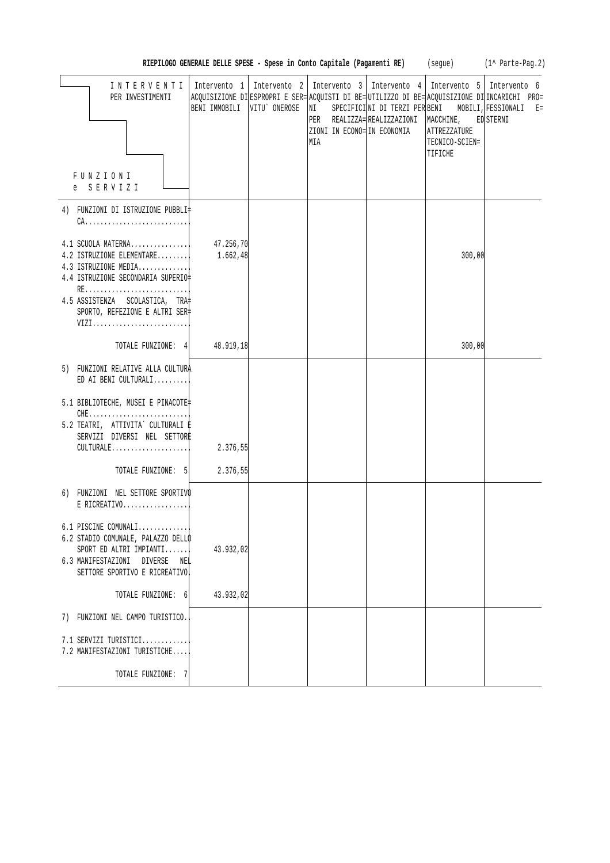| RIEPILOGO GENERALE DELLE SPESE - Spese in Conto Capitale (Pagamenti RE) |  |  |  | (seque) | $(1^{\wedge}$ Parte-Pag. 2) |
|-------------------------------------------------------------------------|--|--|--|---------|-----------------------------|
|-------------------------------------------------------------------------|--|--|--|---------|-----------------------------|

| INTERVENTI<br>PER INVESTIMENTI<br>FUNZIONI                                                                                                                    | BENI IMMOBILI         | VITU ONEROSE | Intervento 1 Intervento 2 Intervento 3 Intervento 4 Intervento 5 Intervento 6<br>NI<br>PER REALIZZA=REALIZZAZIONI<br>ZIONI IN ECONO= IN ECONOMIA<br>MIA | MACCHINE,<br>ATTREZZATURE<br>TECNICO-SCIEN=<br>TIFICHE | ACQUISIZIONE DIESPROPRI E SER= ACQUISTI DI BE= UTILIZZO DI BE= ACQUISIZIONE DI INCARICHI PRO=<br>SPECIFICINI DI TERZI PER BENI MOBILI, FESSIONALI E=<br>ED STERNI |
|---------------------------------------------------------------------------------------------------------------------------------------------------------------|-----------------------|--------------|---------------------------------------------------------------------------------------------------------------------------------------------------------|--------------------------------------------------------|-------------------------------------------------------------------------------------------------------------------------------------------------------------------|
| e SERVIZI                                                                                                                                                     |                       |              |                                                                                                                                                         |                                                        |                                                                                                                                                                   |
| 4) FUNZIONI DI ISTRUZIONE PUBBLI‡                                                                                                                             |                       |              |                                                                                                                                                         |                                                        |                                                                                                                                                                   |
| $4.1$ SCUOLA MATERNA<br>4.2 ISTRUZIONE ELEMENTARE<br>4.3 ISTRUZIONE MEDIA <br>4.4 ISTRUZIONE SECONDARIA SUPERIO‡<br>RE                                        | 47.256,70<br>1.662,48 |              |                                                                                                                                                         | 300,00                                                 |                                                                                                                                                                   |
| 4.5 ASSISTENZA SCOLASTICA, TRA<br>SPORTO, REFEZIONE E ALTRI SER‡<br>VIZI                                                                                      |                       |              |                                                                                                                                                         |                                                        |                                                                                                                                                                   |
| TOTALE FUNZIONE: 4 48.919,18                                                                                                                                  |                       |              |                                                                                                                                                         | 300,00                                                 |                                                                                                                                                                   |
| 5) FUNZIONI RELATIVE ALLA CULTURA<br>ED AI BENI CULTURALI                                                                                                     |                       |              |                                                                                                                                                         |                                                        |                                                                                                                                                                   |
| 5.1 BIBLIOTECHE, MUSEI E PINACOTE‡<br>5.2 TEATRI, ATTIVITA` CULTURALI E<br>SERVIZI DIVERSI NEL SETTORE<br>CULTURALE                                           | 2.376,55              |              |                                                                                                                                                         |                                                        |                                                                                                                                                                   |
| TOTALE FUNZIONE: 5                                                                                                                                            | 2.376,55              |              |                                                                                                                                                         |                                                        |                                                                                                                                                                   |
| 6) FUNZIONI NEL SETTORE SPORTIVO<br>$E$ RICREATIVO                                                                                                            |                       |              |                                                                                                                                                         |                                                        |                                                                                                                                                                   |
| $6.1$ PISCINE COMUNALI<br>6.2 STADIO COMUNALE, PALAZZO DELLO<br>SPORT ED ALTRI IMPIANTI<br>6.3 MANIFESTAZIONI DIVERSE<br>NEL<br>SETTORE SPORTIVO E RICREATIVO | 43.932,02             |              |                                                                                                                                                         |                                                        |                                                                                                                                                                   |
| TOTALE FUNZIONE: 6                                                                                                                                            | 43.932,02             |              |                                                                                                                                                         |                                                        |                                                                                                                                                                   |
| 7) FUNZIONI NEL CAMPO TURISTICO.                                                                                                                              |                       |              |                                                                                                                                                         |                                                        |                                                                                                                                                                   |
| 7.1 SERVIZI TURISTICI<br>7.2 MANIFESTAZIONI TURISTICHE                                                                                                        |                       |              |                                                                                                                                                         |                                                        |                                                                                                                                                                   |
| TOTALE FUNZIONE: 7                                                                                                                                            |                       |              |                                                                                                                                                         |                                                        |                                                                                                                                                                   |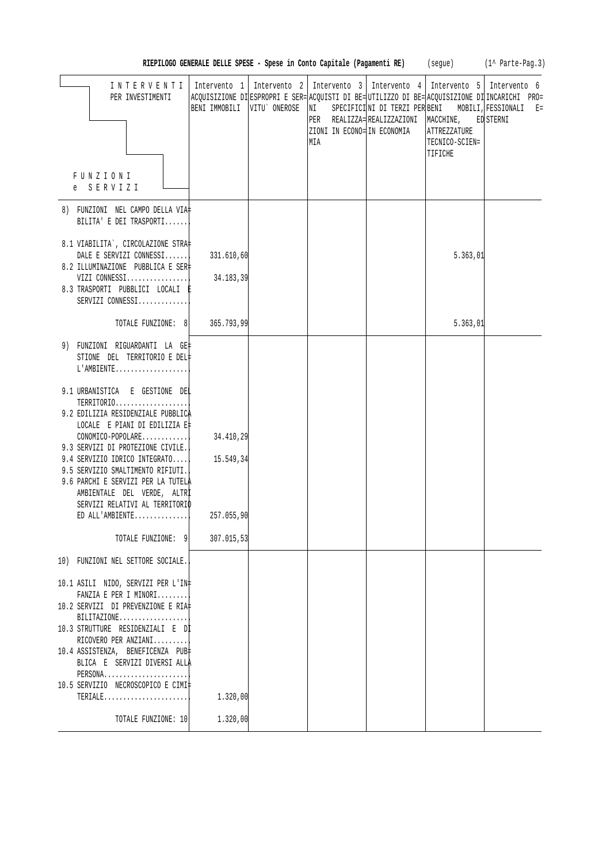|                                                                                                                                                                                                                                                                                                                                                                                                                                                                                       |                                                    |                  |                                                                                                                                                                                                                  |                                      |                                           | RIEPILOGO GENERALE DELLE SPESE - Spese in Conto Capitale (Pagamenti RE) (segue) (1^ Parte-Pag.3) |
|---------------------------------------------------------------------------------------------------------------------------------------------------------------------------------------------------------------------------------------------------------------------------------------------------------------------------------------------------------------------------------------------------------------------------------------------------------------------------------------|----------------------------------------------------|------------------|------------------------------------------------------------------------------------------------------------------------------------------------------------------------------------------------------------------|--------------------------------------|-------------------------------------------|--------------------------------------------------------------------------------------------------|
| INTERVENTI<br>PER INVESTIMENTI<br>FUNZIONI                                                                                                                                                                                                                                                                                                                                                                                                                                            | Intervento 1<br>BENI IMMOBILI                      | VITU`ONEROSE  NI | Intervento 2   Intervento 3   Intervento 4   Intervento 5   Intervento 6<br>ACQUISIZIONE DI ESPROPRI E SER= ACQUISTI DI BE= UTILIZZO DI BE= ACQUISIZIONE DI INCARICHI PRO=<br>ZIONI IN ECONO= IN ECONOMIA<br>MIA | PER REALIZZA=REALIZZAZIONI MACCHINE, | ATTREZZATURE<br>TECNICO-SCIEN=<br>TIFICHE | SPECIFICINI DI TERZI PER BENI MOBILI, FESSIONALI E=<br>ED STERNI                                 |
| e SERVIZI                                                                                                                                                                                                                                                                                                                                                                                                                                                                             |                                                    |                  |                                                                                                                                                                                                                  |                                      |                                           |                                                                                                  |
| 8) FUNZIONI NEL CAMPO DELLA VIA‡<br>BILITA' E DEI TRASPORTI                                                                                                                                                                                                                                                                                                                                                                                                                           |                                                    |                  |                                                                                                                                                                                                                  |                                      |                                           |                                                                                                  |
| 8.1 VIABILITA`, CIRCOLAZIONE STRA‡<br>DALE E SERVIZI CONNESSI<br>8.2 ILLUMINAZIONE PUBBLICA E SER‡<br>VIZI CONNESSI<br>8.3 TRASPORTI PUBBLICI LOCALI E<br>SERVIZI CONNESSI                                                                                                                                                                                                                                                                                                            | 331.610,60<br>34.183,39                            |                  |                                                                                                                                                                                                                  |                                      | 5.363,01                                  |                                                                                                  |
| TOTALE FUNZIONE: 8                                                                                                                                                                                                                                                                                                                                                                                                                                                                    | 365.793,99                                         |                  |                                                                                                                                                                                                                  |                                      | 5.363,01                                  |                                                                                                  |
| 9) FUNZIONI RIGUARDANTI LA GE‡<br>STIONE DEL TERRITORIO E DEL‡<br>L'AMBIENTE<br>9.1 URBANISTICA E GESTIONE DEL<br>TERRITORIO<br>9.2 EDILIZIA RESIDENZIALE PUBBLICA<br>LOCALE E PIANI DI EDILIZIA E‡<br>$CONOMICO-POPOLARE$<br>9.3 SERVIZI DI PROTEZIONE CIVILE.<br>9.4 SERVIZIO IDRICO INTEGRATO<br>9.5 SERVIZIO SMALTIMENTO RIFIUTI.<br>9.6 PARCHI E SERVIZI PER LA TUTELA<br>AMBIENTALE DEL VERDE, ALTRI<br>SERVIZI RELATIVI AL TERRITORIO<br>ED ALL'AMBIENTE<br>TOTALE FUNZIONE: 9 | 34.410,29<br>15.549,34<br>257.055,90<br>307.015,53 |                  |                                                                                                                                                                                                                  |                                      |                                           |                                                                                                  |
| 10) FUNZIONI NEL SETTORE SOCIALE.<br>10.1 ASILI NIDO, SERVIZI PER L'IN‡<br>FANZIA E PER I MINORI<br>10.2 SERVIZI DI PREVENZIONE E RIA‡<br>$BILITAZIONE$<br>10.3 STRUTTURE RESIDENZIALI E DI<br>RICOVERO PER ANZIANI<br>10.4 ASSISTENZA, BENEFICENZA PUB‡<br>BLICA E SERVIZI DIVERSI ALLA<br>PERSONA<br>10.5 SERVIZIO NECROSCOPICO E CIMI‡<br>$\mathtt{TERIALE} \ldots \ldots \ldots \ldots \ldots \ldots \ldots \ldots$                                                               | 1.320,00                                           |                  |                                                                                                                                                                                                                  |                                      |                                           |                                                                                                  |
| TOTALE FUNZIONE: 10                                                                                                                                                                                                                                                                                                                                                                                                                                                                   | 1.320,00                                           |                  |                                                                                                                                                                                                                  |                                      |                                           |                                                                                                  |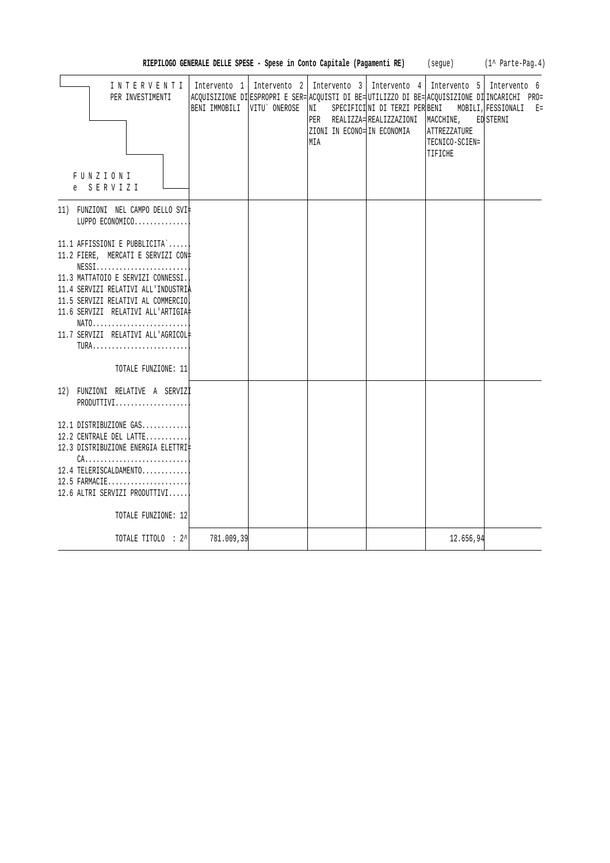| INTERVENTI                                               |               |              | Intervento 1   Intervento 2   Intervento 3   Intervento 4                                      |                                                  |                | Intervento 5   Intervento 6 |
|----------------------------------------------------------|---------------|--------------|------------------------------------------------------------------------------------------------|--------------------------------------------------|----------------|-----------------------------|
| PER INVESTIMENTI                                         |               |              | ACQUISIZIONE DI ESPROPRI E SER= ACQUISTI DI BE= UTILIZZO DI BE= ACQUISIZIONE DI INCARICHI PRO= |                                                  |                |                             |
|                                                          | BENI IMMOBILI | VITU ONEROSE | NI                                                                                             | SPECIFICINI DI TERZI PER BENI MOBILI, FESSIONALI |                | $E =$                       |
|                                                          |               |              |                                                                                                | PER REALIZZA=REALIZZAZIONI MACCHINE, ED STERNI   |                |                             |
|                                                          |               |              | ZIONI IN ECONO= IN ECONOMIA                                                                    |                                                  | ATTREZZATURE   |                             |
|                                                          |               |              | MIA                                                                                            |                                                  | TECNICO-SCIEN= |                             |
|                                                          |               |              |                                                                                                |                                                  | TIFICHE        |                             |
|                                                          |               |              |                                                                                                |                                                  |                |                             |
| FUNZIONI                                                 |               |              |                                                                                                |                                                  |                |                             |
| e SERVIZI                                                |               |              |                                                                                                |                                                  |                |                             |
|                                                          |               |              |                                                                                                |                                                  |                |                             |
| 11) FUNZIONI NEL CAMPO DELLO SVI‡                        |               |              |                                                                                                |                                                  |                |                             |
| LUPPO ECONOMICO                                          |               |              |                                                                                                |                                                  |                |                             |
|                                                          |               |              |                                                                                                |                                                  |                |                             |
| 11.1 AFFISSIONI E PUBBLICITA`                            |               |              |                                                                                                |                                                  |                |                             |
| 11.2 FIERE, MERCATI E SERVIZI CON‡                       |               |              |                                                                                                |                                                  |                |                             |
| $NESS1, \ldots, \ldots, \ldots, \ldots, \ldots, \ldots,$ |               |              |                                                                                                |                                                  |                |                             |
| 11.3 MATTATOIO E SERVIZI CONNESSI.                       |               |              |                                                                                                |                                                  |                |                             |
| 11.4 SERVIZI RELATIVI ALL'INDUSTRIA                      |               |              |                                                                                                |                                                  |                |                             |
| 11.5 SERVIZI RELATIVI AL COMMERCIO                       |               |              |                                                                                                |                                                  |                |                             |
| 11.6 SERVIZI RELATIVI ALL'ARTIGIA#                       |               |              |                                                                                                |                                                  |                |                             |
| NATO                                                     |               |              |                                                                                                |                                                  |                |                             |
| 11.7 SERVIZI RELATIVI ALL'AGRICOL#                       |               |              |                                                                                                |                                                  |                |                             |
| TURA                                                     |               |              |                                                                                                |                                                  |                |                             |
|                                                          |               |              |                                                                                                |                                                  |                |                             |
| TOTALE FUNZIONE: 11                                      |               |              |                                                                                                |                                                  |                |                             |
|                                                          |               |              |                                                                                                |                                                  |                |                             |
| 12) FUNZIONI RELATIVE A SERVIZI                          |               |              |                                                                                                |                                                  |                |                             |
| PRODUTTIVI                                               |               |              |                                                                                                |                                                  |                |                             |
|                                                          |               |              |                                                                                                |                                                  |                |                             |
| 12.1 DISTRIBUZIONE GAS                                   |               |              |                                                                                                |                                                  |                |                             |
|                                                          |               |              |                                                                                                |                                                  |                |                             |
| 12.2 CENTRALE DEL LATTE                                  |               |              |                                                                                                |                                                  |                |                             |
| 12.3 DISTRIBUZIONE ENERGIA ELETTRI‡                      |               |              |                                                                                                |                                                  |                |                             |
| $CA.$                                                    |               |              |                                                                                                |                                                  |                |                             |
| 12.4 TELERISCALDAMENTO                                   |               |              |                                                                                                |                                                  |                |                             |
| 12.5 FARMACIE                                            |               |              |                                                                                                |                                                  |                |                             |
| 12.6 ALTRI SERVIZI PRODUTTIVI                            |               |              |                                                                                                |                                                  |                |                             |
|                                                          |               |              |                                                                                                |                                                  |                |                             |
| TOTALE FUNZIONE: 12                                      |               |              |                                                                                                |                                                  |                |                             |
|                                                          |               |              |                                                                                                |                                                  |                |                             |
| TOTALE TITOLO : 2^                                       | 781.009,39    |              |                                                                                                |                                                  | 12.656,94      |                             |

RIEPILOGO GENERALE DELLE SPESE - Spese in Conto Capitale (Pagamenti RE) (segue) (1^ Parte-Pag.4)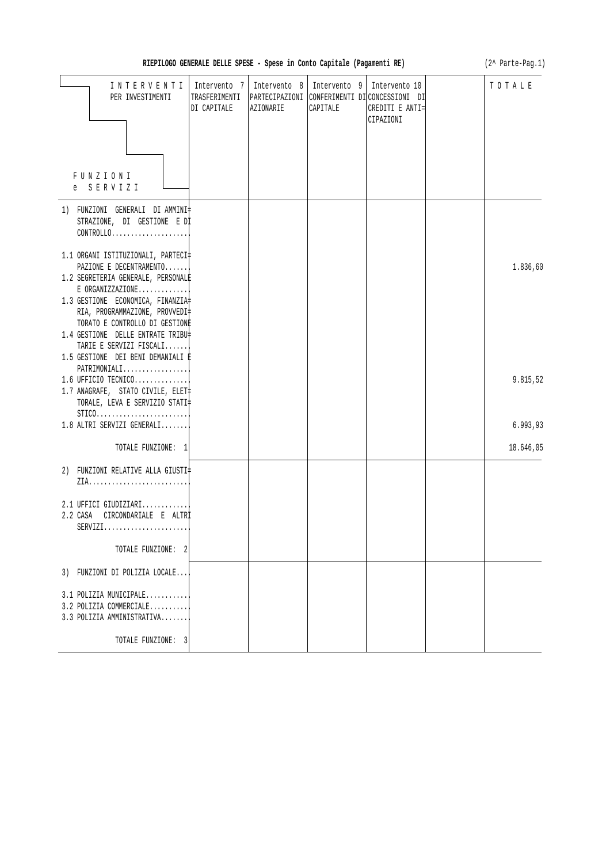| RIEPILOGO GENERALE DELLE SPESE - Spese in Conto Capitale (Pagamenti RE)                                                                                                                                                                                                                           | (2^ Parte-Pag.1)            |                           |                                          |                                                                                                 |           |
|---------------------------------------------------------------------------------------------------------------------------------------------------------------------------------------------------------------------------------------------------------------------------------------------------|-----------------------------|---------------------------|------------------------------------------|-------------------------------------------------------------------------------------------------|-----------|
| INTERVENTI<br>PER INVESTIMENTI                                                                                                                                                                                                                                                                    | Intervento 7<br>DI CAPITALE | Intervento 8<br>AZIONARIE | Intervento 9   Intervento 10<br>CAPITALE | TRASFERIMENTI   PARTECIPAZIONI   CONFERIMENTI DI CONCESSIONI DI<br>CREDITI E ANTI=<br>CIPAZIONI | TOTALE    |
| FUNZIONI<br>e SERVIZI                                                                                                                                                                                                                                                                             |                             |                           |                                          |                                                                                                 |           |
| 1) FUNZIONI GENERALI DI AMMINI‡<br>STRAZIONE, DI GESTIONE E DI<br>$CONTROLLO. \ldots \ldots \ldots \ldots \ldots \ldots \ldots$                                                                                                                                                                   |                             |                           |                                          |                                                                                                 |           |
| 1.1 ORGANI ISTITUZIONALI, PARTECI‡<br>PAZIONE E DECENTRAMENTO<br>1.2 SEGRETERIA GENERALE, PERSONALE<br>$E$ ORGANIZZAZIONE<br>1.3 GESTIONE ECONOMICA, FINANZIA<br>RIA, PROGRAMMAZIONE, PROVVEDI‡<br>TORATO E CONTROLLO DI GESTIONE<br>1.4 GESTIONE DELLE ENTRATE TRIBU‡<br>TARIE E SERVIZI FISCALI |                             |                           |                                          |                                                                                                 | 1.836,60  |
| 1.5 GESTIONE DEI BENI DEMANIALI È<br>PATRIMONIALI <br>1.6 UFFICIO TECNICO<br>1.7 ANAGRAFE, STATO CIVILE, ELET<br>TORALE, LEVA E SERVIZIO STATI‡<br>$STICO.$                                                                                                                                       |                             |                           |                                          |                                                                                                 | 9.815,52  |
| 1.8 ALTRI SERVIZI GENERALI                                                                                                                                                                                                                                                                        |                             |                           |                                          |                                                                                                 | 6.993,93  |
| TOTALE FUNZIONE: 1                                                                                                                                                                                                                                                                                |                             |                           |                                          |                                                                                                 | 18.646,05 |
| 2) FUNZIONI RELATIVE ALLA GIUSTI‡                                                                                                                                                                                                                                                                 |                             |                           |                                          |                                                                                                 |           |
| $2.1$ UFFICI GIUDIZIARI<br>2.2 CASA CIRCONDARIALE E ALTR<br>$SERVIZI.$                                                                                                                                                                                                                            |                             |                           |                                          |                                                                                                 |           |
| TOTALE FUNZIONE: 2                                                                                                                                                                                                                                                                                |                             |                           |                                          |                                                                                                 |           |
| 3) FUNZIONI DI POLIZIA LOCALE                                                                                                                                                                                                                                                                     |                             |                           |                                          |                                                                                                 |           |
| 3.1 POLIZIA MUNICIPALE<br>3.2 POLIZIA COMMERCIALE<br>3.3 POLIZIA AMMINISTRATIVA                                                                                                                                                                                                                   |                             |                           |                                          |                                                                                                 |           |
| TOTALE FUNZIONE: 3                                                                                                                                                                                                                                                                                |                             |                           |                                          |                                                                                                 |           |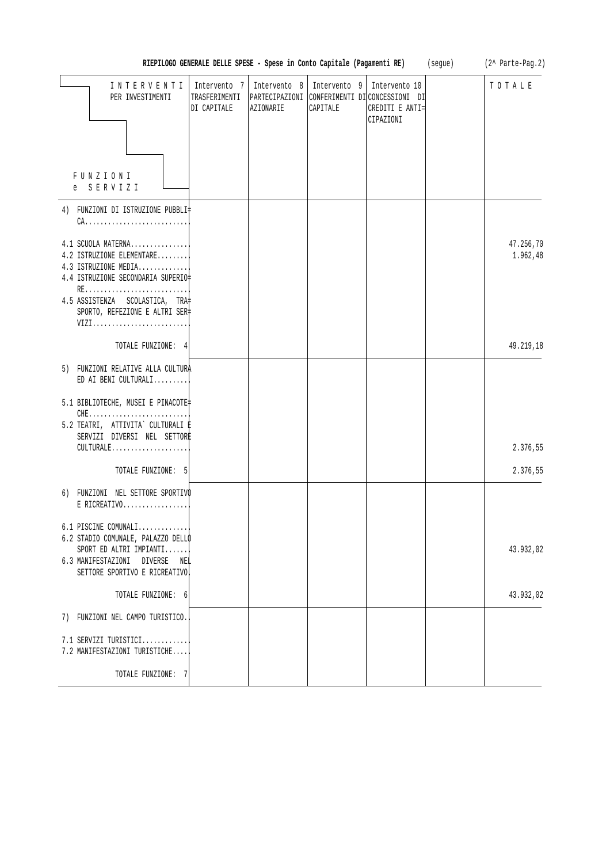|                                                                                                                                                                                                 | RIEPILOGO GENERALE DELLE SPESE - Spese in Conto Capitale (Pagamenti RE) |                           |                          |                                                                                                | (segue) | (2^ Parte-Pag.2)      |
|-------------------------------------------------------------------------------------------------------------------------------------------------------------------------------------------------|-------------------------------------------------------------------------|---------------------------|--------------------------|------------------------------------------------------------------------------------------------|---------|-----------------------|
| INTERVENTI<br>PER INVESTIMENTI                                                                                                                                                                  | Intervento 7<br>TRASFERIMENTI<br>DI CAPITALE                            | Intervento 8<br>AZIONARIE | Intervento 9<br>CAPITALE | Intervento 10<br>PARTECIPAZIONI CONFERIMENTI DI CONCESSIONI DI<br>CREDITI E ANTI=<br>CIPAZIONI |         | TOTALE                |
| FUNZIONI<br>SERVIZI<br>e                                                                                                                                                                        |                                                                         |                           |                          |                                                                                                |         |                       |
| 4) FUNZIONI DI ISTRUZIONE PUBBLI‡<br>$CA.$                                                                                                                                                      |                                                                         |                           |                          |                                                                                                |         |                       |
| 4.1 SCUOLA MATERNA<br>4.2 ISTRUZIONE ELEMENTARE<br>4.3 ISTRUZIONE MEDIA<br>4.4 ISTRUZIONE SECONDARIA SUPERIO‡<br>RE<br>4.5 ASSISTENZA SCOLASTICA, TRA<br>SPORTO, REFEZIONE E ALTRI SER‡<br>VIZI |                                                                         |                           |                          |                                                                                                |         | 47.256,70<br>1.962,48 |
| TOTALE FUNZIONE: 4                                                                                                                                                                              |                                                                         |                           |                          |                                                                                                |         | 49.219,18             |
| 5) FUNZIONI RELATIVE ALLA CULTURA<br>ED AI BENI CULTURALI<br>5.1 BIBLIOTECHE, MUSEI E PINACOTE<br>5.2 TEATRI, ATTIVITA` CULTURALI E                                                             |                                                                         |                           |                          |                                                                                                |         |                       |
| SERVIZI DIVERSI NEL SETTORE<br>$CULTURALE.$                                                                                                                                                     |                                                                         |                           |                          |                                                                                                |         | 2.376,55              |
| TOTALE FUNZIONE: 5                                                                                                                                                                              |                                                                         |                           |                          |                                                                                                |         | 2.376,55              |
| 6) FUNZIONI NEL SETTORE SPORTIVO<br>$E$ RICREATIVO                                                                                                                                              |                                                                         |                           |                          |                                                                                                |         |                       |
| $6.1$ PISCINE COMUNALI<br>6.2 STADIO COMUNALE, PALAZZO DELLO<br>$SPORT$ ED ALTRI IMPIANTI<br>6.3 MANIFESTAZIONI DIVERSE<br>NEL<br>SETTORE SPORTIVO E RICREATIVO                                 |                                                                         |                           |                          |                                                                                                |         | 43.932,02             |
| TOTALE FUNZIONE: 6                                                                                                                                                                              |                                                                         |                           |                          |                                                                                                |         | 43.932,02             |
| 7) FUNZIONI NEL CAMPO TURISTICO.                                                                                                                                                                |                                                                         |                           |                          |                                                                                                |         |                       |
| 7.1 SERVIZI TURISTICI<br>7.2 MANIFESTAZIONI TURISTICHE                                                                                                                                          |                                                                         |                           |                          |                                                                                                |         |                       |
| TOTALE FUNZIONE: 7                                                                                                                                                                              |                                                                         |                           |                          |                                                                                                |         |                       |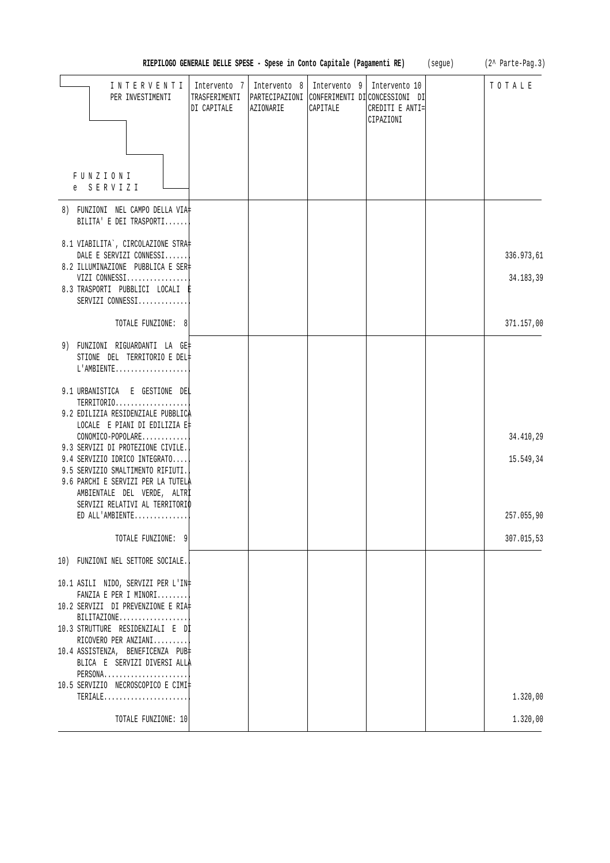|                                                                                                                                         | RIEPILOGO GENERALE DELLE SPESE - Spese in Conto Capitale (Pagamenti RE) |           |                                         |                                                                                                | (segue) | (2^ Parte-Pag.3) |
|-----------------------------------------------------------------------------------------------------------------------------------------|-------------------------------------------------------------------------|-----------|-----------------------------------------|------------------------------------------------------------------------------------------------|---------|------------------|
| INTERVENTI<br>PER INVESTIMENTI                                                                                                          | Intervento 7<br>TRASFERIMENTI<br>DI CAPITALE                            | AZIONARIE | Intervento 8   Intervento 9<br>CAPITALE | Intervento 10<br>PARTECIPAZIONI CONFERIMENTI DI CONCESSIONI DI<br>CREDITI E ANTI=<br>CIPAZIONI |         | TOTALE           |
| FUNZIONI<br>e SERVIZI                                                                                                                   |                                                                         |           |                                         |                                                                                                |         |                  |
| 8) FUNZIONI NEL CAMPO DELLA VIA‡<br>BILITA' E DEI TRASPORTI                                                                             |                                                                         |           |                                         |                                                                                                |         |                  |
| 8.1 VIABILITA`, CIRCOLAZIONE STRA‡<br>DALE E SERVIZI CONNESSI<br>8.2 ILLUMINAZIONE PUBBLICA E SER‡                                      |                                                                         |           |                                         |                                                                                                |         | 336.973,61       |
| VIZI CONNESSI<br>8.3 TRASPORTI PUBBLICI LOCALI E<br>SERVIZI CONNESSI                                                                    |                                                                         |           |                                         |                                                                                                |         | 34.183,39        |
| TOTALE FUNZIONE: 8                                                                                                                      |                                                                         |           |                                         |                                                                                                |         | 371.157,00       |
| 9) FUNZIONI RIGUARDANTI LA GE‡<br>STIONE DEL TERRITORIO E DEL‡<br>L'AMBIENTE                                                            |                                                                         |           |                                         |                                                                                                |         |                  |
| 9.1 URBANISTICA E GESTIONE DEL<br>TERRITORIO<br>9.2 EDILIZIA RESIDENZIALE PUBBLICA<br>LOCALE E PIANI DI EDILIZIA E‡                     |                                                                         |           |                                         |                                                                                                |         |                  |
| CONOMICO-POPOLARE<br>9.3 SERVIZI DI PROTEZIONE CIVILE.                                                                                  |                                                                         |           |                                         |                                                                                                |         | 34.410,29        |
| 9.4 SERVIZIO IDRICO INTEGRATO<br>9.5 SERVIZIO SMALTIMENTO RIFIUTI.<br>9.6 PARCHI E SERVIZI PER LA TUTELA<br>AMBIENTALE DEL VERDE, ALTRI |                                                                         |           |                                         |                                                                                                |         | 15.549,34        |
| SERVIZI RELATIVI AL TERRITORIO<br>ED ALL'AMBIENTE                                                                                       |                                                                         |           |                                         |                                                                                                |         | 257.055,90       |
| TOTALE FUNZIONE: 9                                                                                                                      |                                                                         |           |                                         |                                                                                                |         | 307.015,53       |
| 10) FUNZIONI NEL SETTORE SOCIALE.                                                                                                       |                                                                         |           |                                         |                                                                                                |         |                  |
| 10.1 ASILI NIDO, SERVIZI PER L'IN‡<br>FANZIA E PER I MINORI                                                                             |                                                                         |           |                                         |                                                                                                |         |                  |
| 10.2 SERVIZI DI PREVENZIONE E RIA‡<br>BILITAZIONE                                                                                       |                                                                         |           |                                         |                                                                                                |         |                  |
| 10.3 STRUTTURE RESIDENZIALI E DI<br>RICOVERO PER ANZIANI                                                                                |                                                                         |           |                                         |                                                                                                |         |                  |
| 10.4 ASSISTENZA, BENEFICENZA PUB<br>BLICA E SERVIZI DIVERSI ALLA<br>PERSONA                                                             |                                                                         |           |                                         |                                                                                                |         |                  |
| 10.5 SERVIZIO NECROSCOPICO E CIMI‡<br>$TERIALE$                                                                                         |                                                                         |           |                                         |                                                                                                |         | 1.320,00         |
| TOTALE FUNZIONE: 10                                                                                                                     |                                                                         |           |                                         |                                                                                                |         | 1.320,00         |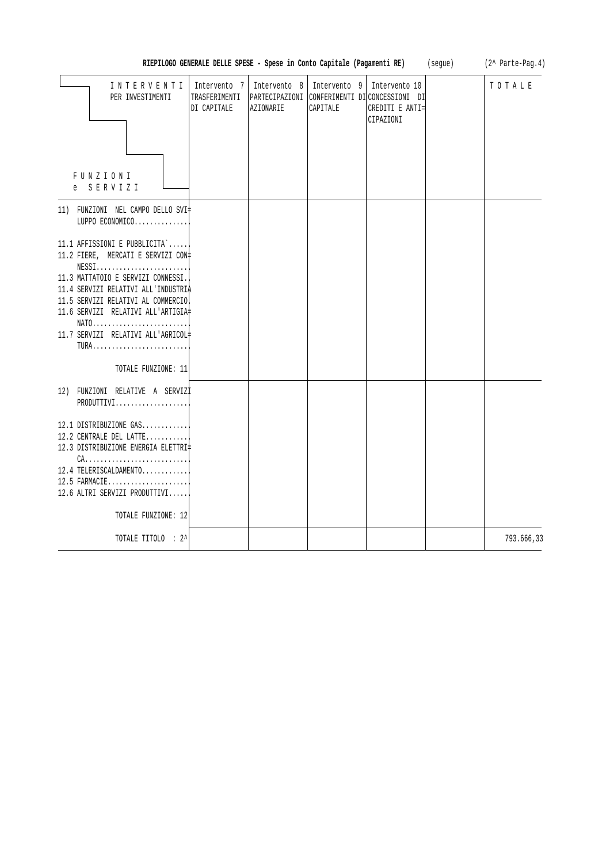| RIEPILOGO GENERALE DELLE SPESE - Spese in Conto Capitale (Pagamenti RE)                                                                                                                                                                                                                                                                                       | (segue)                                      | (2^ Parte-Pag.4)<br>TOTALE |                                           |                                                                                               |  |            |
|---------------------------------------------------------------------------------------------------------------------------------------------------------------------------------------------------------------------------------------------------------------------------------------------------------------------------------------------------------------|----------------------------------------------|----------------------------|-------------------------------------------|-----------------------------------------------------------------------------------------------|--|------------|
| INTERVENTI<br>PER INVESTIMENTI<br>FUNZIONI<br>e SERVIZI                                                                                                                                                                                                                                                                                                       | Intervento 7<br>TRASFERIMENTI<br>DI CAPITALE | AZIONARIE                  | Intervento 8   Intervento 9  <br>CAPITALE | Intervento 10<br>PARTECIPAZIONI CONFERIMENTI DICONCESSIONI DI<br>CREDITI E ANTI=<br>CIPAZIONI |  |            |
| 11) FUNZIONI NEL CAMPO DELLO SVI‡<br>LUPPO ECONOMICO                                                                                                                                                                                                                                                                                                          |                                              |                            |                                           |                                                                                               |  |            |
| 11.1 AFFISSIONI E PUBBLICITA`<br>11.2 FIERE, MERCATI E SERVIZI CON#<br>$NESS1, \ldots, \ldots, \ldots, \ldots, \ldots, \ldots,$<br>11.3 MATTATOIO E SERVIZI CONNESSI.<br>11.4 SERVIZI RELATIVI ALL'INDUSTRIA<br>11.5 SERVIZI RELATIVI AL COMMERCIO<br>11.6 SERVIZI RELATIVI ALL'ARTIGIA‡<br>11.7 SERVIZI RELATIVI ALL'AGRICOL#<br>TURA<br>TOTALE FUNZIONE: 11 |                                              |                            |                                           |                                                                                               |  |            |
| 12) FUNZIONI RELATIVE A SERVIZI<br>PRODUTTIVI                                                                                                                                                                                                                                                                                                                 |                                              |                            |                                           |                                                                                               |  |            |
| 12.1 DISTRIBUZIONE GAS<br>12.2 CENTRALE DEL LATTE<br>12.3 DISTRIBUZIONE ENERGIA ELETTRI‡<br>$CA.$<br>12.4 TELERISCALDAMENTO<br>12.5 FARMACIE<br>12.6 ALTRI SERVIZI PRODUTTIVI<br>TOTALE FUNZIONE: 12                                                                                                                                                          |                                              |                            |                                           |                                                                                               |  |            |
| TOTALE TITOLO : 2^                                                                                                                                                                                                                                                                                                                                            |                                              |                            |                                           |                                                                                               |  | 793.666,33 |